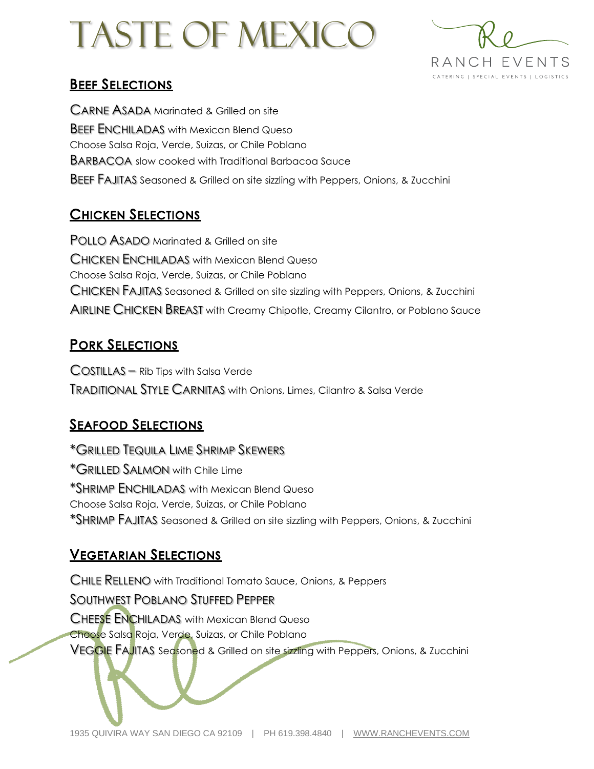# Taste of mexico



## **BEEF SELECTIONS**

CARNE ASADA Marinated & Grilled on site BEEF ENCHILADAS with Mexican Blend Queso Choose Salsa Roja, Verde, Suizas, or Chile Poblano BARBACOA slow cooked with Traditional Barbacoa Sauce BEEF FAJITAS Seasoned & Grilled on site sizzling with Peppers, Onions, & Zucchini

## **CHICKEN SELECTIONS**

POLLO ASADO Marinated & Grilled on site CHICKEN ENCHILADAS with Mexican Blend Queso Choose Salsa Roja, Verde, Suizas, or Chile Poblano CHICKEN FAJITAS Seasoned & Grilled on site sizzling with Peppers, Onions, & Zucchini AIRLINE CHICKEN BREAST with Creamy Chipotle, Creamy Cilantro, or Poblano Sauce

## **PORK SELECTIONS**

COSTILLAS – Rib Tips with Salsa Verde TRADITIONAL STYLE CARNITAS with Onions, Limes, Cilantro & Salsa Verde

# **SEAFOOD SELECTIONS**

\*GRILLED TEQUILA LIME SHRIMP SKEWERS \*GRILLED SALMON with Chile Lime \*SHRIMP ENCHILADAS with Mexican Blend Queso Choose Salsa Roja, Verde, Suizas, or Chile Poblano \*SHRIMP FAJITAS Seasoned & Grilled on site sizzling with Peppers, Onions, & Zucchini

# **VEGETARIAN SELECTIONS**

CHILE RELLENO with Traditional Tomato Sauce, Onions, & Peppers SOUTHWEST POBLANO STUFFED PEPPER CHEESE ENCHILADAS with Mexican Blend Queso Choose Salsa Roja, Verde, Suizas, or Chile Poblano VEGGIE FAJITAS Seasoned & Grilled on site sizzling with Peppers, Onions, & Zucchini